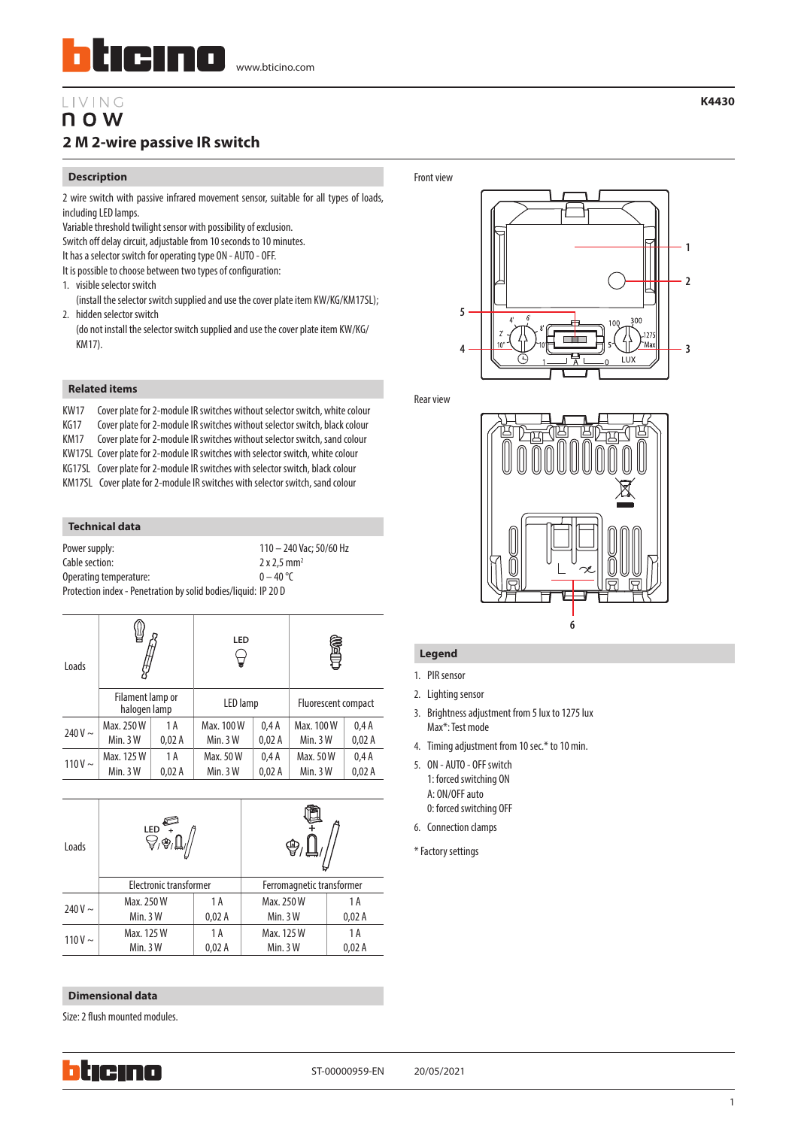# LIVING n o w **2 M 2-wire passive IR switch**

#### **Description**

2 wire switch with passive infrared movement sensor, suitable for all types of loads, including LED lamps.

Variable threshold twilight sensor with possibility of exclusion.

Switch off delay circuit, adjustable from 10 seconds to 10 minutes.

- It has a selector switch for operating type ON AUTO OFF.
- It is possible to choose between two types of configuration:
- 1. visible selector switch
- (install the selector switch supplied and use the cover plate item KW/KG/KM17SL); 2. hidden selector switch
- (do not install the selector switch supplied and use the cover plate item KW/KG/ KM17).

### **Related items**

KW17 Cover plate for 2-module IR switches without selector switch, white colour KG17 Cover plate for 2-module IR switches without selector switch, black colour KM17 Cover plate for 2-module IR switches without selector switch, sand colour KW17SL Cover plate for 2-module IR switches with selector switch, white colour KG17SL Cover plate for 2-module IR switches with selector switch, black colour KM17SL Cover plate for 2-module IR switches with selector switch, sand colour

#### **Technical data**

| Power supply:                                                  | 110 - 240 Vac; 50/60 Hz        |  |
|----------------------------------------------------------------|--------------------------------|--|
| Cable section:                                                 | $2 \times 2.5$ mm <sup>2</sup> |  |
| Operating temperature:                                         | $0 - 40$ °C                    |  |
| Protection index - Penetration by solid bodies/liquid: IP 20 D |                                |  |

| Loads        |                                  |       | <b>LED</b> |       | Î                   |       |
|--------------|----------------------------------|-------|------------|-------|---------------------|-------|
|              | Filament lamp or<br>halogen lamp |       | LED lamp   |       | Fluorescent compact |       |
| 240 V $\sim$ | Max. 250 W                       | 1 A   | Max. 100 W | 0.4A  | Max. 100 W          | 0.4A  |
|              | Min. $3W$                        | 0,02A | Min.3W     | 0,02A | Min. $3W$           | 0,02A |
| $110V \sim$  | Max. 125 W                       | 1 A   | Max. 50 W  | 0,4A  | Max. 50 W           | 0.4A  |
|              | Min.3W                           | 0,02A | Min.3W     | 0,02A | Min.3W              | 0,02A |

| Loads       | <b>LED</b>             |       |                           |       |  |
|-------------|------------------------|-------|---------------------------|-------|--|
|             | Electronic transformer |       | Ferromagnetic transformer |       |  |
| $240V \sim$ | Max. 250 W             | 1 A   | Max. 250 W                | 1 A   |  |
|             | Min. $3W$              | 0,02A | Min. $3W$                 | 0,02A |  |
| $110V \sim$ | Max. 125 W             | 1 A   | Max. 125 W                | 1 A   |  |
|             | Min.3W                 | 0,02A | Min. 3 W                  | 0,02A |  |

#### **Dimensional data**

Size: 2 flush mounted modules.





**K4430**

Rear view



## **Legend**

- 1. PIR sensor
- 2. Lighting sensor
- 3. Brightness adjustment from 5 lux to 1275 lux Max\*: Test mode
- 4. Timing adjustment from 10 sec.\* to 10 min.
- 5. ON AUTO OFF switch
- 1: forced switching ON A: ON/OFF auto 0: forced switching OFF
- 6. Connection clamps
- \* Factory settings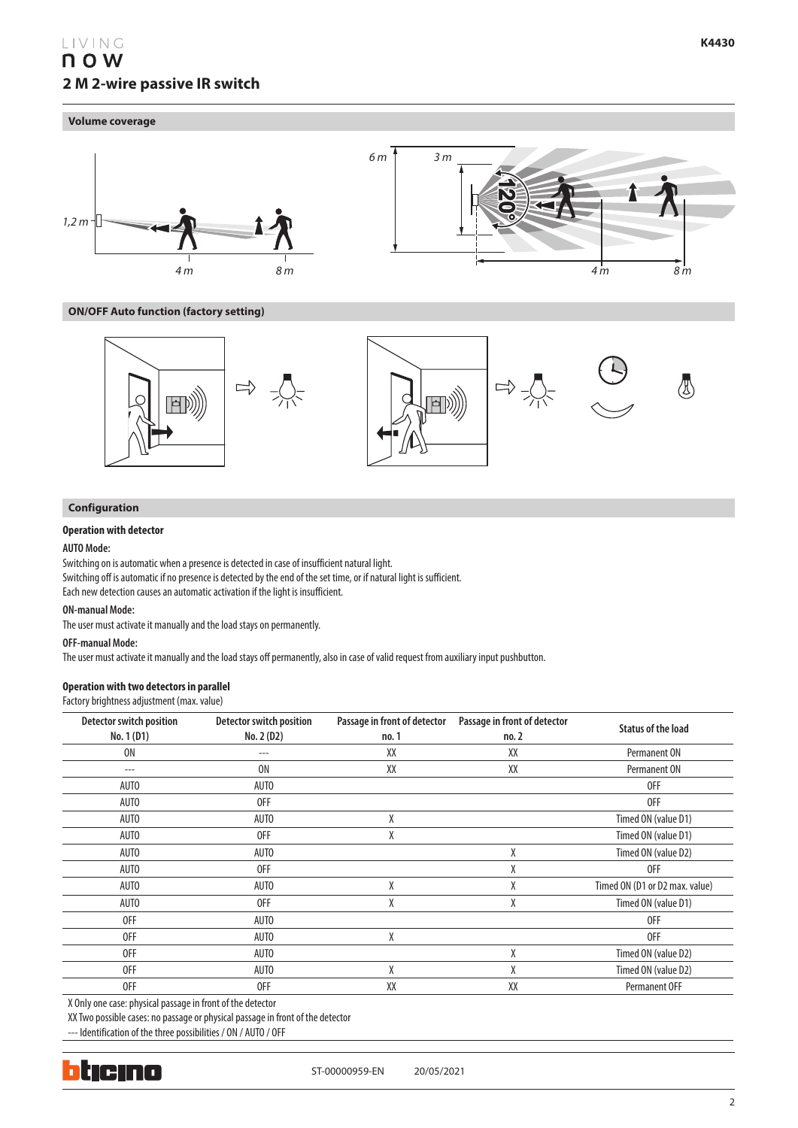# LIVING n o w **2 M 2-wire passive IR switch**

#### **Volume coverage**



**ON/OFF Auto function (factory setting)**



## **Configuration**

## **Operation with detector**

### **AUTO Mode:**

Switching on is automatic when a presence is detected in case of insufficient natural light. Switching off is automatic if no presence is detected by the end of the set time, or if natural light is sufficient. Each new detection causes an automatic activation if the light is insufficient.

#### **ON-manual Mode:**

The user must activate it manually and the load stays on permanently.

#### **OFF-manual Mode:**

The user must activate it manually and the load stays off permanently, also in case of valid request from auxiliary input pushbutton.

### **Operation with two detectors in parallel**

Factory brightness adjustment (max. value)

| <b>Detector switch position</b><br>No. 1 (D1) | <b>Detector switch position</b><br>No. 2 (D2) | Passage in front of detector<br>no. 1 | Passage in front of detector<br>no. 2 | <b>Status of the load</b>      |
|-----------------------------------------------|-----------------------------------------------|---------------------------------------|---------------------------------------|--------------------------------|
| <b>ON</b>                                     | ---                                           | XX                                    | XX                                    | Permanent ON                   |
| ---                                           | 0N                                            | XX                                    | XX                                    | Permanent ON                   |
| AUTO                                          | <b>AUTO</b>                                   |                                       |                                       | 0FF                            |
| AUTO                                          | 0FF                                           |                                       |                                       | 0FF                            |
| AUTO                                          | <b>AUTO</b>                                   | X                                     |                                       | Timed ON (value D1)            |
| AUTO                                          | 0FF                                           | χ                                     |                                       | Timed ON (value D1)            |
| AUTO                                          | <b>AUTO</b>                                   |                                       | χ                                     | Timed ON (value D2)            |
| AUTO                                          | 0FF                                           |                                       | χ                                     | 0FF                            |
| AUTO                                          | <b>AUTO</b>                                   | X                                     | χ                                     | Timed ON (D1 or D2 max. value) |
| <b>AUTO</b>                                   | 0FF                                           | χ                                     | χ                                     | Timed ON (value D1)            |
| 0FF                                           | <b>AUTO</b>                                   |                                       |                                       | 0FF                            |
| 0FF                                           | <b>AUTO</b>                                   | χ                                     |                                       | 0FF                            |
| 0FF                                           | <b>AUTO</b>                                   |                                       | Χ                                     | Timed ON (value D2)            |
| 0FF                                           | <b>AUTO</b>                                   | X                                     | χ                                     | Timed ON (value D2)            |
| 0FF                                           | 0FF                                           | XX                                    | XX                                    | <b>Permanent OFF</b>           |

X Only one case: physical passage in front of the detector

XX Two possible cases: no passage or physical passage in front of the detector

--- Identification of the three possibilities / ON / AUTO / OFF